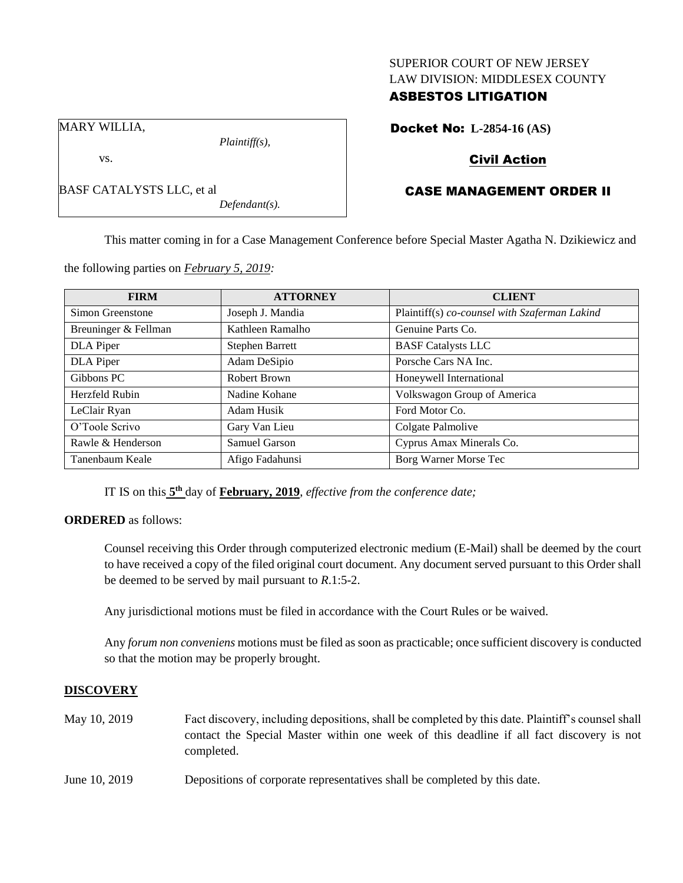### SUPERIOR COURT OF NEW JERSEY LAW DIVISION: MIDDLESEX COUNTY

## ASBESTOS LITIGATION

MARY WILLIA,

vs.

BASF CATALYSTS LLC, et al

*Plaintiff(s),*

*Defendant(s).*

Docket No: **L-2854-16 (AS)**

## Civil Action

# CASE MANAGEMENT ORDER II

This matter coming in for a Case Management Conference before Special Master Agatha N. Dzikiewicz and

**FIRM ATTORNEY CLIENT** Simon Greenstone | Joseph J. Mandia | Plaintiff(s) *co-counsel with Szaferman Lakind* Breuninger & Fellman Kathleen Ramalho Genuine Parts Co. DLA Piper Stephen Barrett BASF Catalysts LLC DLA Piper Adam DeSipio Porsche Cars NA Inc. Gibbons PC Robert Brown Honeywell International Herzfeld Rubin Nadine Kohane Volkswagon Group of America LeClair Ryan Adam Husik Ford Motor Co. O'Toole Scrivo Gary Van Lieu Colgate Palmolive Rawle & Henderson Samuel Garson Cyprus Amax Minerals Co. Tanenbaum Keale Afigo Fadahunsi Borg Warner Morse Tec

the following parties on *February 5, 2019:*

IT IS on this  $5<sup>th</sup>$  day of **February, 2019**, *effective from the conference date*;

### **ORDERED** as follows:

Counsel receiving this Order through computerized electronic medium (E-Mail) shall be deemed by the court to have received a copy of the filed original court document. Any document served pursuant to this Order shall be deemed to be served by mail pursuant to *R*.1:5-2.

Any jurisdictional motions must be filed in accordance with the Court Rules or be waived.

Any *forum non conveniens* motions must be filed as soon as practicable; once sufficient discovery is conducted so that the motion may be properly brought.

### **DISCOVERY**

May 10, 2019 Fact discovery, including depositions, shall be completed by this date. Plaintiff's counsel shall contact the Special Master within one week of this deadline if all fact discovery is not completed. June 10, 2019 Depositions of corporate representatives shall be completed by this date.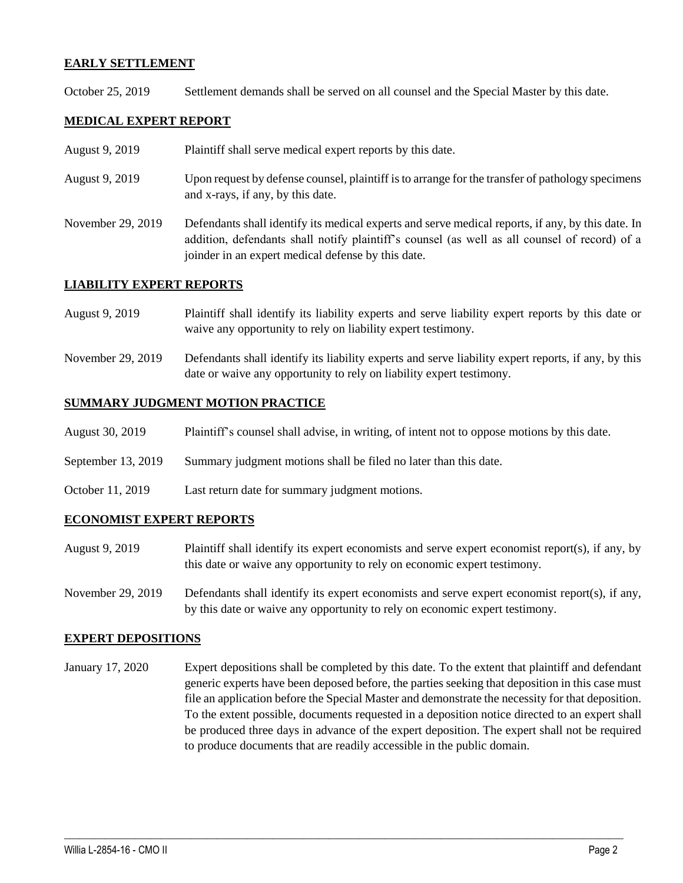### **EARLY SETTLEMENT**

October 25, 2019 Settlement demands shall be served on all counsel and the Special Master by this date.

### **MEDICAL EXPERT REPORT**

- August 9, 2019 Plaintiff shall serve medical expert reports by this date.
- August 9, 2019 Upon request by defense counsel, plaintiff is to arrange for the transfer of pathology specimens and x-rays, if any, by this date.
- November 29, 2019 Defendants shall identify its medical experts and serve medical reports, if any, by this date. In addition, defendants shall notify plaintiff's counsel (as well as all counsel of record) of a joinder in an expert medical defense by this date.

#### **LIABILITY EXPERT REPORTS**

- August 9, 2019 Plaintiff shall identify its liability experts and serve liability expert reports by this date or waive any opportunity to rely on liability expert testimony.
- November 29, 2019 Defendants shall identify its liability experts and serve liability expert reports, if any, by this date or waive any opportunity to rely on liability expert testimony.

#### **SUMMARY JUDGMENT MOTION PRACTICE**

- August 30, 2019 Plaintiff's counsel shall advise, in writing, of intent not to oppose motions by this date.
- September 13, 2019 Summary judgment motions shall be filed no later than this date.
- October 11, 2019 Last return date for summary judgment motions.

#### **ECONOMIST EXPERT REPORTS**

- August 9, 2019 Plaintiff shall identify its expert economists and serve expert economist report(s), if any, by this date or waive any opportunity to rely on economic expert testimony.
- November 29, 2019 Defendants shall identify its expert economists and serve expert economist report(s), if any, by this date or waive any opportunity to rely on economic expert testimony.

#### **EXPERT DEPOSITIONS**

January 17, 2020 Expert depositions shall be completed by this date. To the extent that plaintiff and defendant generic experts have been deposed before, the parties seeking that deposition in this case must file an application before the Special Master and demonstrate the necessity for that deposition. To the extent possible, documents requested in a deposition notice directed to an expert shall be produced three days in advance of the expert deposition. The expert shall not be required to produce documents that are readily accessible in the public domain.

 $\_$  ,  $\_$  ,  $\_$  ,  $\_$  ,  $\_$  ,  $\_$  ,  $\_$  ,  $\_$  ,  $\_$  ,  $\_$  ,  $\_$  ,  $\_$  ,  $\_$  ,  $\_$  ,  $\_$  ,  $\_$  ,  $\_$  ,  $\_$  ,  $\_$  ,  $\_$  ,  $\_$  ,  $\_$  ,  $\_$  ,  $\_$  ,  $\_$  ,  $\_$  ,  $\_$  ,  $\_$  ,  $\_$  ,  $\_$  ,  $\_$  ,  $\_$  ,  $\_$  ,  $\_$  ,  $\_$  ,  $\_$  ,  $\_$  ,